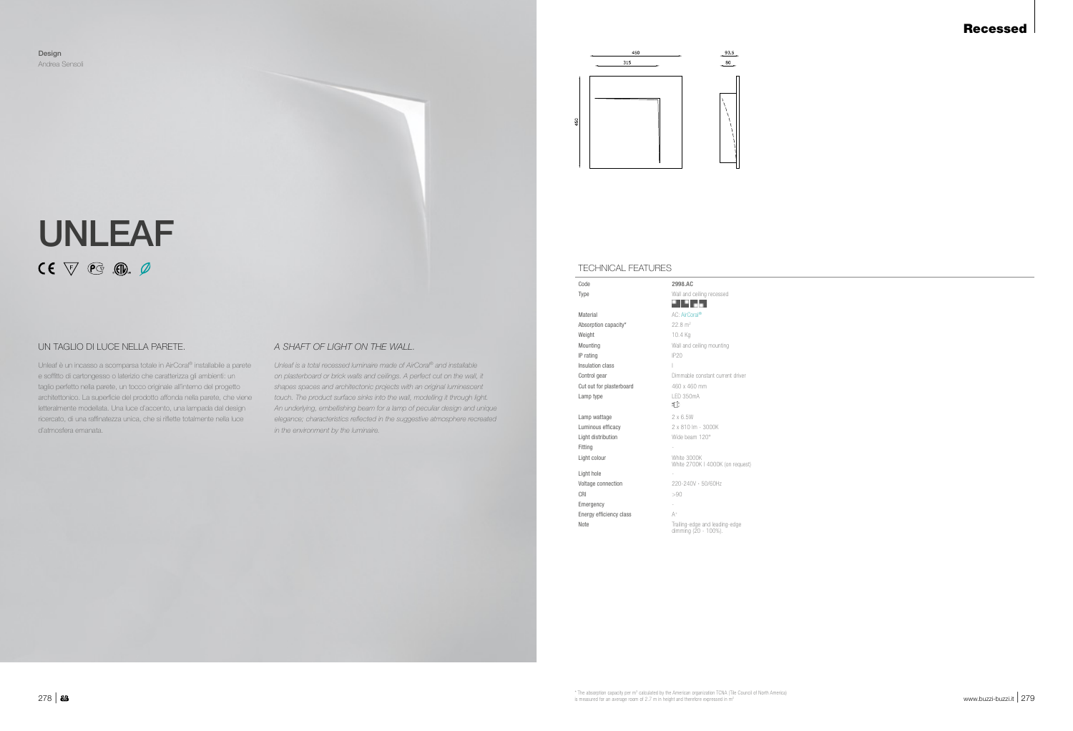## Recessed

Unleaf è un incasso a scomparsa totale in AirCoral® installabile a parete e soffitto di cartongesso o laterizio che caratterizza gli ambienti: un taglio perfetto nella parete, un tocco originale all'interno del progetto architettonico. La superficie del prodotto affonda nella parete, che viene letteralmente modellata. Una luce d'accento, una lampada dal design ricercato, di una raffinatezza unica, che si riflette totalmente nella luce d'atmosfera emanata.

# UNLEAF  $CE \nabla \mathcal{C} \cdot \mathbb{G}$

*Unleaf is a total recessed luminaire made of AirCoral® and installable on plasterboard or brick walls and ceilings. A perfect cut on the wall, it shapes spaces and architectonic projects with an original luminescent touch. The product surface sinks into the wall, modelling it through light. An underlying, embellishing beam for a lamp of peculiar design and unique elegance; characteristics reflected in the suggestive atmosphere recreated in the environment by the luminaire.*

Design Andrea Sensoli



### TECHNICAL FEATURES

| Code                     | 2998.AC                                                |
|--------------------------|--------------------------------------------------------|
| Type                     | Wall and ceiling recessed                              |
|                          |                                                        |
| Material                 | AC: AirCoral®                                          |
| Absorption capacity*     | $22.8 \text{ m}^2$                                     |
| Weight                   | 10.4 Kg                                                |
| Mountina                 | Wall and ceiling mounting                              |
| IP rating                | IP20                                                   |
| Insulation class         | L                                                      |
| Control gear             | Dimmable constant current driver                       |
| Cut out for plasterboard | 460 x 460 mm                                           |
| Lamp type                | LED 350mA                                              |
|                          | ₹D                                                     |
| Lamp wattage             | 2x6.5W                                                 |
| Luminous efficacy        | 2 x 810 lm - 3000K                                     |
| Light distribution       | Wide beam 120°                                         |
| Fitting                  |                                                        |
| Light colour             | White 3000K<br>White 2700K I 4000K (on request)        |
| Light hole               |                                                        |
| Voltage connection       | 220-240V · 50/60Hz                                     |
| CRI                      | >90                                                    |
| Emergency                | $\overline{\phantom{a}}$                               |
| Energy efficiency class  | $A^+$                                                  |
| Note                     | Trailing-edge and leading-edge<br>dimming (20 - 100%). |
|                          |                                                        |

## UN TAGLIO DI LUCE NELLA PARETE. *A SHAFT OF LIGHT ON THE WALL.*